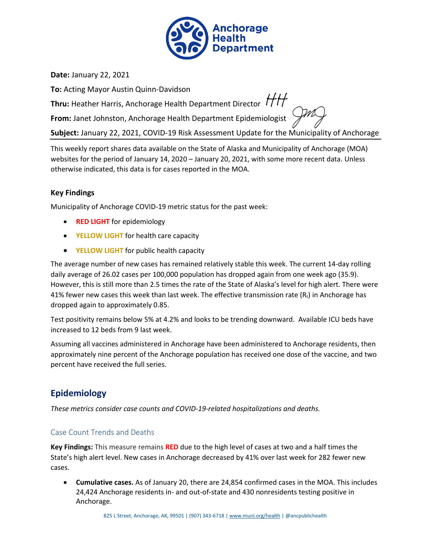

**Date:** January 22, 2021

**To:** Acting Mayor Austin Quinn-Davidson

**Thru:** Heather Harris, Anchorage Health Department Director  $H$ 

**From:** Janet Johnston, Anchorage Health Department Epidemiologist

**Subject:** January 22, 2021, COVID-19 Risk Assessment Update for the Municipality of Anchorage

This weekly report shares data available on the State of Alaska and Municipality of Anchorage (MOA) websites for the period of January 14, 2020 – January 20, 2021, with some more recent data. Unless otherwise indicated, this data is for cases reported in the MOA.

## **Key Findings**

Municipality of Anchorage COVID-19 metric status for the past week:

- **RED LIGHT** for epidemiology
- **YELLOW LIGHT** for health care capacity
- **YELLOW LIGHT** for public health capacity

The average number of new cases has remained relatively stable this week. The current 14-day rolling daily average of 26.02 cases per 100,000 population has dropped again from one week ago (35.9). However, this is still more than 2.5 times the rate of the State of Alaska's level for high alert. There were 41% fewer new cases this week than last week. The effective transmission rate  $(R_t)$  in Anchorage has dropped again to approximately 0.85.

Test positivity remains below 5% at 4.2% and looks to be trending downward. Available ICU beds have increased to 12 beds from 9 last week.

Assuming all vaccines administered in Anchorage have been administered to Anchorage residents, then approximately nine percent of the Anchorage population has received one dose of the vaccine, and two percent have received the full series.

# **Epidemiology**

*These metrics consider case counts and COVID-19-related hospitalizations and deaths.*

## Case Count Trends and Deaths

**Key Findings:** This measure remains **RED** due to the high level of cases at two and a half times the State's high alert level. New cases in Anchorage decreased by 41% over last week for 282 fewer new cases.

<span id="page-0-0"></span>• **Cumulative cases.** As of January 20, there are 24,854 confirmed cases in the MOA. This includes 24,424 Anchorage residents in- and out-of-state and 430 nonresidents testing positive in Anchorage.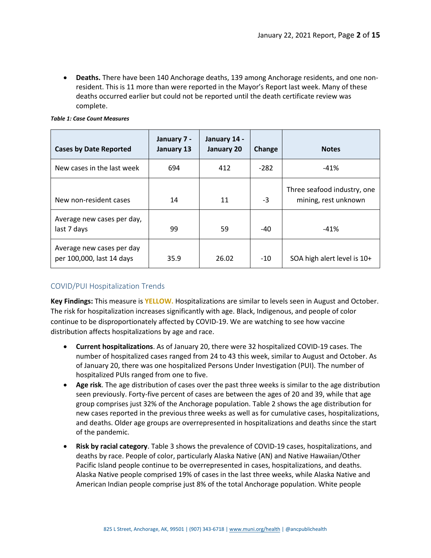• **Deaths.** There have been 140 Anchorage deaths, 139 among Anchorage residents, and one nonresident. This is 11 more than were reported in the Mayor's Report last week. Many of these deaths occurred earlier but could not be reported until the death certificate review was complete.

| <b>Cases by Date Reported</b>                          | January 7 -<br>January 13 | January 14 -<br>January 20 | Change | <b>Notes</b>                                        |
|--------------------------------------------------------|---------------------------|----------------------------|--------|-----------------------------------------------------|
| New cases in the last week                             | 694                       | 412                        | $-282$ | $-41%$                                              |
| New non-resident cases                                 | 14                        | 11                         | $-3$   | Three seafood industry, one<br>mining, rest unknown |
| Average new cases per day,<br>last 7 days              | 99                        | 59                         | $-40$  | $-41%$                                              |
| Average new cases per day<br>per 100,000, last 14 days | 35.9                      | 26.02                      | $-10$  | SOA high alert level is 10+                         |

## COVID/PUI Hospitalization Trends

**Key Findings:** This measure is **YELLOW.** Hospitalizations are similar to levels seen in August and October. The risk for hospitalization increases significantly with age. Black, Indigenous, and people of color continue to be disproportionately affected by COVID-19. We are watching to see how vaccine distribution affects hospitalizations by age and race.

- **Current hospitalizations**. As o[f January 20,](#page-0-0) there were 32 hospitalized COVID-19 cases. The number of hospitalized cases ranged from 24 to 43 this week, similar to August and October. As of [January 20,](#page-0-0) there was one hospitalized Persons Under Investigation (PUI). The number of hospitalized PUIs ranged from one to five.
- **Age risk**. The age distribution of cases over the past three weeks is similar to the age distribution seen previously. Forty-five percent of cases are between the ages of 20 and 39, while that age group comprises just 32% of the Anchorage population. Table 2 shows the age distribution for new cases reported in the previous three weeks as well as for cumulative cases, hospitalizations, and deaths. Older age groups are overrepresented in hospitalizations and deaths since the start of the pandemic.
- **Risk by racial category**. Table 3 shows the prevalence of COVID-19 cases, hospitalizations, and deaths by race. People of color, particularly Alaska Native (AN) and Native Hawaiian/Other Pacific Island people continue to be overrepresented in cases, hospitalizations, and deaths. Alaska Native people comprised 19% of cases in the last three weeks, while Alaska Native and American Indian people comprise just 8% of the total Anchorage population. White people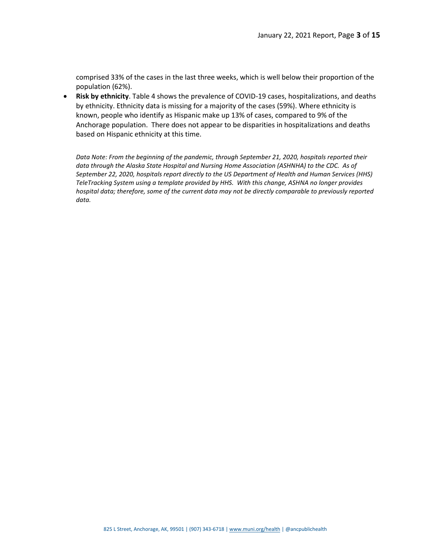comprised 33% of the cases in the last three weeks, which is well below their proportion of the population (62%).

• **Risk by ethnicity**. Table 4 shows the prevalence of COVID-19 cases, hospitalizations, and deaths by ethnicity. Ethnicity data is missing for a majority of the cases (59%). Where ethnicity is known, people who identify as Hispanic make up 13% of cases, compared to 9% of the Anchorage population. There does not appear to be disparities in hospitalizations and deaths based on Hispanic ethnicity at this time.

*Data Note: From the beginning of the pandemic, through September 21, 2020, hospitals reported their data through the Alaska State Hospital and Nursing Home Association (ASHNHA) to the CDC. As of September 22, 2020, hospitals report directly to the US Department of Health and Human Services (HHS) TeleTracking System using a template provided by HHS. With this change, ASHNA no longer provides hospital data; therefore, some of the current data may not be directly comparable to previously reported data.*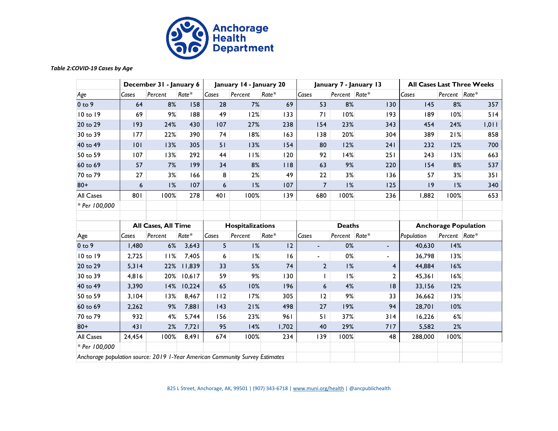

#### *Table 2:COVID-19 Cases by Age*

| <b>COVID-19 Cases by Age</b>                                                 |        |                         |        |       |                         |         |                |               |                        |                             |               |                                   |
|------------------------------------------------------------------------------|--------|-------------------------|--------|-------|-------------------------|---------|----------------|---------------|------------------------|-----------------------------|---------------|-----------------------------------|
|                                                                              |        | December 31 - January 6 |        |       | January 14 - January 20 |         |                |               | January 7 - January 13 |                             |               | <b>All Cases Last Three Weeks</b> |
| Age                                                                          | Cases  | Percent                 | Rate*  | Cases | Percent                 | $Rate*$ | Cases          | Percent Rate* |                        | Cases                       | Percent Rate* |                                   |
| $0$ to $9$                                                                   | 64     | 8%                      | 158    | 28    | 7%                      | 69      | 53             | 8%            | 130                    | 145                         | 8%            | 357                               |
| 10 to 19                                                                     | 69     | 9%                      | 188    | 49    | 12%                     | 133     | 71             | 10%           | 193                    | 189                         | 10%           | 514                               |
| 20 to 29                                                                     | 193    | 24%                     | 430    | 107   | 27%                     | 238     | 154            | 23%           | 343                    | 454                         | 24%           | 1,011                             |
| 30 to 39                                                                     | 177    | 22%                     | 390    | 74    | 18%                     | 163     | 138            | 20%           | 304                    | 389                         | 21%           | 858                               |
| 40 to 49                                                                     | 101    | 13%                     | 305    | 51    | 13%                     | 154     | 80             | 12%           | 241                    | 232                         | 12%           | 700                               |
| 50 to 59                                                                     | 107    | 13%                     | 292    | 44    | 11%                     | 120     | 92             | 14%           | 251                    | 243                         | 13%           | 663                               |
| 60 to 69                                                                     | 57     | 7%                      | 199    | 34    | 8%                      | 118     | 63             | 9%            | 220                    | 154                         | 8%            | 537                               |
| 70 to 79                                                                     | 27     | 3%                      | 166    | 8     | 2%                      | 49      | 22             | 3%            | 136                    | 57                          | 3%            | 351                               |
| $80+$                                                                        | 6      | 1%                      | 107    | 6     | 1%                      | 107     | $\overline{7}$ | 1%            | 125                    | 9                           | 1%            | 340                               |
| <b>All Cases</b>                                                             | 801    | 100%                    | 278    | 401   | 100%                    | 139     | 680            | 100%          | 236                    | 1,882                       | 100%          | 653                               |
| * Per 100,000                                                                |        |                         |        |       |                         |         |                |               |                        |                             |               |                                   |
|                                                                              |        |                         |        |       |                         |         |                |               |                        |                             |               |                                   |
|                                                                              |        | All Cases, All Time     |        |       | Hospitalizations        |         | <b>Deaths</b>  |               |                        | <b>Anchorage Population</b> |               |                                   |
| Age                                                                          | Cases  | Percent                 | Rate*  | Cases | Percent                 | Rate*   | Cases          | Percent Rate* |                        | Population                  | Percent Rate* |                                   |
| $0$ to $9$                                                                   | 1,480  | 6%                      | 3,643  | 5     | 1%                      | 12      | $\blacksquare$ | 0%            | ٠                      | 40,630                      | 14%           |                                   |
| 10 to 19                                                                     | 2,725  | 11%                     | 7,405  | 6     | 1%                      | 16      |                | 0%            | ٠                      | 36,798                      | 13%           |                                   |
| 20 to 29                                                                     | 5,314  | 22%                     | 11,839 | 33    | 5%                      | 74      | $\overline{2}$ | 1%            | 4                      | 44,884                      | 16%           |                                   |
| 30 to 39                                                                     | 4,816  | 20%                     | 10,617 | 59    | 9%                      | 130     |                | 1%            | $\overline{2}$         | 45,361                      | 16%           |                                   |
| 40 to 49                                                                     | 3,390  | 14%                     | 10,224 | 65    | 10%                     | 196     | 6              | 4%            | 8                      | 33,156                      | 12%           |                                   |
| 50 to 59                                                                     | 3,104  | 13%                     | 8,467  | 112   | 17%                     | 305     | 12             | 9%            | 33                     | 36,662                      | 13%           |                                   |
| 60 to 69                                                                     | 2,262  | 9%                      | 7,881  | 143   | 21%                     | 498     | 27             | 19%           | 94                     | 28,701                      | 10%           |                                   |
| 70 to 79                                                                     | 932    | 4%                      | 5,744  | 156   | 23%                     | 961     | 51             | 37%           | 314                    | 16,226                      | $6\%$         |                                   |
| $80+$                                                                        | 431    | 2%                      | 7,721  | 95    | 14%                     | 1,702   | 40             | 29%           | 717                    | 5,582                       | 2%            |                                   |
| <b>All Cases</b>                                                             | 24,454 | 100%                    | 8,491  | 674   | 100%                    | 234     | 139            | 100%          | 48                     | 288,000                     | 100%          |                                   |
| * Per 100,000                                                                |        |                         |        |       |                         |         |                |               |                        |                             |               |                                   |
| Anchorage population source: 2019 1-Year American Community Survey Estimates |        |                         |        |       |                         |         |                |               |                        |                             |               |                                   |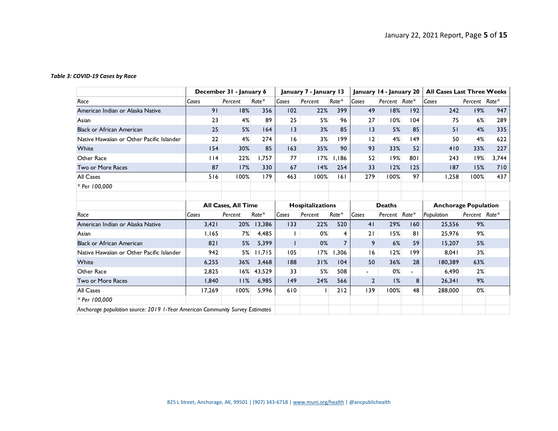#### *Table 3: COVID-19 Cases by Race*

| COVID-19 Cases by Race                                                       |                         |                            |         |                        |         |                         |                 |                                   |                             |            |               |       |
|------------------------------------------------------------------------------|-------------------------|----------------------------|---------|------------------------|---------|-------------------------|-----------------|-----------------------------------|-----------------------------|------------|---------------|-------|
|                                                                              | December 31 - January 6 |                            |         | January 7 - January 13 |         | January 14 - January 20 |                 | <b>All Cases Last Three Weeks</b> |                             |            |               |       |
| Race                                                                         | Cases                   | Percent                    | $Rate*$ | Cases                  | Percent | $Rate*$                 | Cases           | Percent Rate*                     |                             | Cases      | Percent Rate* |       |
| American Indian or Alaska Native                                             | 91                      | 18%                        | 356     | 102                    | 22%     | 399                     | 49              | 18%                               | 192                         | 242        | 19%           | 947   |
| Asian                                                                        | 23                      | 4%                         | 89      | 25                     | 5%      | 96                      | 27              | 10%                               | 104                         | 75         | 6%            | 289   |
| <b>Black or African American</b>                                             | 25                      | 5%                         | 164     | 3                      | 3%      | 85                      | $\overline{13}$ | 5%                                | 85                          | 51         | 4%            | 335   |
| Native Hawaiian or Other Pacific Islander                                    | 22                      | 4%                         | 274     | 16                     | 3%      | 199                     | 12              | 4%                                | 149                         | 50         | 4%            | 622   |
| White                                                                        | 154                     | 30%                        | 85      | 163                    | 35%     | 90                      | 93              | 33%                               | 52                          | 410        | 33%           | 227   |
| Other Race                                                                   | 114                     | 22%                        | 1.757   | 77                     | 17%     | 1,186                   | 52              | 19%                               | 801                         | 243        | 19%           | 3,744 |
| Two or More Races                                                            | 87                      | 17%                        | 330     | 67                     | 14%     | 254                     | 33              | 12%                               | 125                         | 187        | 15%           | 710   |
| <b>All Cases</b>                                                             | 516                     | 100%                       | 179     | 463                    | 100%    | 6                       | 279             | 100%                              | 97                          | 1.258      | 100%          | 437   |
| * Per 100,000                                                                |                         |                            |         |                        |         |                         |                 |                                   |                             |            |               |       |
|                                                                              |                         |                            |         |                        |         |                         |                 |                                   |                             |            |               |       |
|                                                                              |                         | <b>All Cases, All Time</b> |         | Hospitalizations       |         | <b>Deaths</b>           |                 |                                   | <b>Anchorage Population</b> |            |               |       |
| Race                                                                         | Cases                   | Percent                    | $Rate*$ | Cases                  | Percent | Rate*                   | Cases           | Percent Rate*                     |                             | Population | Percent Rate* |       |
| American Indian or Alaska Native                                             | 3,421                   | 20%                        | 13,386  | 133                    | 22%     | 520                     | 41              | 29%                               | 160                         | 25,556     | 9%            |       |
| Asian                                                                        | 1,165                   | 7%                         | 4,485   |                        | 0%      | $\overline{4}$          | 21              | 15%                               | 81                          | 25,976     | 9%            |       |
| <b>Black or African American</b>                                             | 821                     | 5%                         | 5,399   |                        | 0%      | $\overline{7}$          | 9               | 6%                                | 59                          | 15,207     | 5%            |       |
| Native Hawaiian or Other Pacific Islander                                    | 942                     | 5%                         | 11,715  | 105                    | 17%     | 1,306                   | 16              | 12%                               | 199                         | 8,041      | 3%            |       |
| White                                                                        | 6,255                   | 36%                        | 3,468   | 188                    | 31%     | 104                     | 50              | 36%                               | 28                          | 180,389    | 63%           |       |
| Other Race                                                                   | 2,825                   | 16%                        | 43,529  | 33                     | 5%      | 508                     |                 | 0%                                | $\blacksquare$              | 6,490      | 2%            |       |
| Two or More Races                                                            | 1.840                   | 11%                        | 6.985   | 149                    | 24%     | 566                     | $\mathbf{2}$    | 1%                                | 8                           | 26,341     | 9%            |       |
| <b>All Cases</b>                                                             | 17,269                  | 100%                       | 5,996   | 610                    |         | 212                     | 139             | 100%                              | 48                          | 288,000    | 0%            |       |
| * Per 100.000                                                                |                         |                            |         |                        |         |                         |                 |                                   |                             |            |               |       |
| Anchorage population source: 2019 1-Year American Community Survey Estimates |                         |                            |         |                        |         |                         |                 |                                   |                             |            |               |       |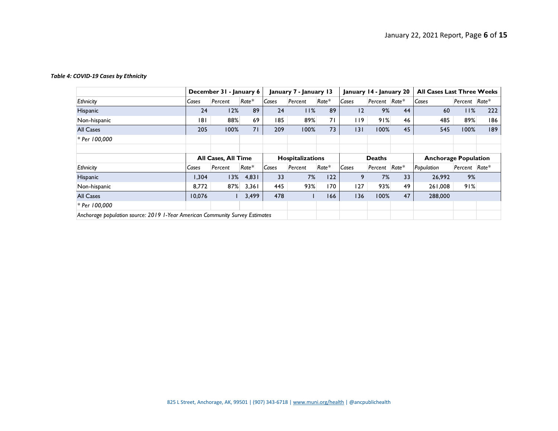#### *Table 4: COVID-19 Cases by Ethnicity*

| COVID-19 Cases by Ethnicity                                                  |        |                            |       |       |                                          |         |                         |                             |    |                                   |               |     |
|------------------------------------------------------------------------------|--------|----------------------------|-------|-------|------------------------------------------|---------|-------------------------|-----------------------------|----|-----------------------------------|---------------|-----|
|                                                                              |        | December 31 - January 6    |       |       | January 7 - January 13                   |         | January 14 - January 20 |                             |    | <b>All Cases Last Three Weeks</b> |               |     |
| Ethnicity                                                                    | Cases  | Percent                    | Rate* | Cases | Percent                                  | $Rate*$ | Cases                   | Percent Rate*               |    | Cases                             | Percent Rate* |     |
| Hispanic                                                                     | 24     | 12%                        | 89    | 24    | 11%                                      | 89      | $\overline{2}$          | 9%                          | 44 | 60                                | 11%           | 222 |
| Non-hispanic                                                                 | 181    | 88%                        | 69    | 185   | 89%                                      | 71      | 119                     | 91%                         | 46 | 485                               | 89%           | 186 |
| <b>All Cases</b>                                                             | 205    | 100%                       | 71    | 209   | 100%                                     | 73      | 3                       | 100%                        | 45 | 545                               | 100%          | 189 |
| * Per 100,000                                                                |        |                            |       |       |                                          |         |                         |                             |    |                                   |               |     |
|                                                                              |        |                            |       |       |                                          |         |                         |                             |    |                                   |               |     |
|                                                                              |        | <b>All Cases, All Time</b> |       |       | <b>Hospitalizations</b><br><b>Deaths</b> |         |                         | <b>Anchorage Population</b> |    |                                   |               |     |
| Ethnicity                                                                    | Cases  | Percent                    | Rate* | Cases | Percent                                  | Rate*   | Cases                   | Percent Rate*               |    | Population                        | Percent Rate* |     |
| <b>Hispanic</b>                                                              | 1,304  | 13%                        | 4,831 | 33    | 7%                                       | 122     | 9                       | 7%                          | 33 | 26,992                            | 9%            |     |
| Non-hispanic                                                                 | 8,772  | 87%                        | 3,361 | 445   | 93%                                      | 170     | 127                     | 93%                         | 49 | 261,008                           | 91%           |     |
| <b>All Cases</b>                                                             | 10,076 |                            | 3,499 | 478   |                                          | 166     | 136                     | 100%                        | 47 | 288,000                           |               |     |
| * Per 100,000                                                                |        |                            |       |       |                                          |         |                         |                             |    |                                   |               |     |
| Anchorage population source: 2019 1-Year American Community Survey Estimates |        |                            |       |       |                                          |         |                         |                             |    |                                   |               |     |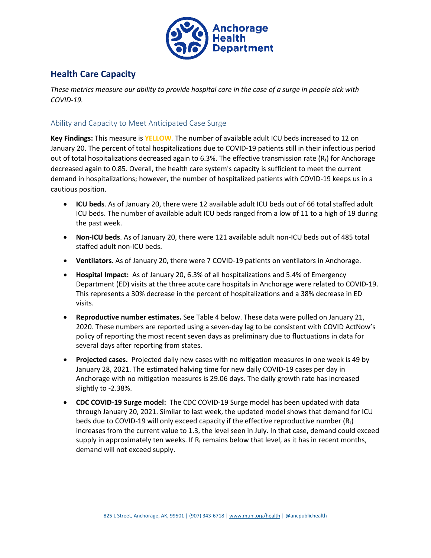

# **Health Care Capacity**

*These metrics measure our ability to provide hospital care in the case of a surge in people sick with COVID-19.*

## Ability and Capacity to Meet Anticipated Case Surge

**Key Findings:** This measure is **YELLOW**. The number of available adult ICU beds increased to 12 on [January 20.](#page-0-0) The percent of total hospitalizations due to COVID-19 patients still in their infectious period out of total hospitalizations decreased again to 6.3%. The effective transmission rate  $(R_t)$  for Anchorage decreased again to 0.85. Overall, the health care system's capacity is sufficient to meet the current demand in hospitalizations; however, the number of hospitalized patients with COVID-19 keeps us in a cautious position.

- **ICU beds**. As of [January 20,](#page-0-0) there were 12 available adult ICU beds out of 66 total staffed adult ICU beds. The number of available adult ICU beds ranged from a low of 11 to a high of 19 during the past week.
- **Non-ICU beds**. As of [January 20,](#page-0-0) there were 121 available adult non-ICU beds out of 485 total staffed adult non-ICU beds.
- **Ventilators**. As o[f January 20,](#page-0-0) there were 7 COVID-19 patients on ventilators in Anchorage.
- **Hospital Impact:** As o[f January 20,](#page-0-0) 6.3% of all hospitalizations and 5.4% of Emergency Department (ED) visits at the three acute care hospitals in Anchorage were related to COVID-19. This represents a 30% decrease in the percent of hospitalizations and a 38% decrease in ED visits.
- **Reproductive number estimates.** See Table 4 below. These data were pulled on January 21, 2020. These numbers are reported using a seven-day lag to be consistent with COVID ActNow's policy of reporting the most recent seven days as preliminary due to fluctuations in data for several days after reporting from states.
- **Projected cases.** Projected daily new cases with no mitigation measures in one week is 49 by January 28, 2021. The estimated halving time for new daily COVID-19 cases per day in Anchorage with no mitigation measures is 29.06 days. The daily growth rate has increased slightly to -2.38%.
- **CDC COVID-19 Surge model:** The CDC COVID-19 Surge model has been updated with data through January 20, 2021. Similar to last week, the updated model shows that demand for ICU beds due to COVID-19 will only exceed capacity if the effective reproductive number  $(R_t)$ increases from the current value to 1.3, the level seen in July. In that case, demand could exceed supply in approximately ten weeks. If  $R_t$  remains below that level, as it has in recent months, demand will not exceed supply.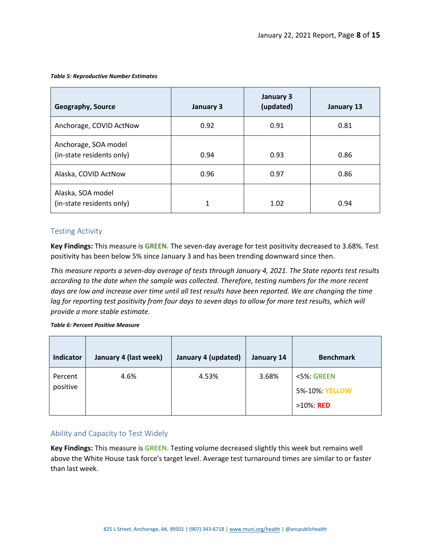#### *Table 5: Reproductive Number Estimates*

| <b>Geography, Source</b>                          | January 3 | January 3<br>(updated) | January 13 |
|---------------------------------------------------|-----------|------------------------|------------|
| Anchorage, COVID ActNow                           | 0.92      | 0.91                   | 0.81       |
| Anchorage, SOA model<br>(in-state residents only) | 0.94      | 0.93                   | 0.86       |
| Alaska, COVID ActNow                              | 0.96      | 0.97                   | 0.86       |
| Alaska, SOA model<br>(in-state residents only)    | 1         | 1.02                   | 0.94       |

### Testing Activity

**Key Findings:** This measure is **GREEN.** The seven-day average for test positivity decreased to 3.68%. Test positivity has been below 5% since January 3 and has been trending downward since then.

*This measure reports a seven-day average of tests through January 4, 2021. The State reports test results according to the date when the sample was collected. Therefore, testing numbers for the more recent days are low and increase over time until all test results have been reported. We are changing the time lag for reporting test positivity from four days to seven days to allow for more test results, which will provide a more stable estimate.*

#### *Table 6: Percent Positive Measure*

| Indicator           | January 4 (last week) | January 4 (updated) | January 14 | <b>Benchmark</b>                              |
|---------------------|-----------------------|---------------------|------------|-----------------------------------------------|
| Percent<br>positive | 4.6%                  | 4.53%               | 3.68%      | <5%: GREEN<br>5%-10%: YELLOW<br>$>10\%$ : RED |

## Ability and Capacity to Test Widely

**Key Findings:** This measure is **GREEN.** Testing volume decreased slightly this week but remains well above the White House task force's target level. Average test turnaround times are similar to or faster than last week.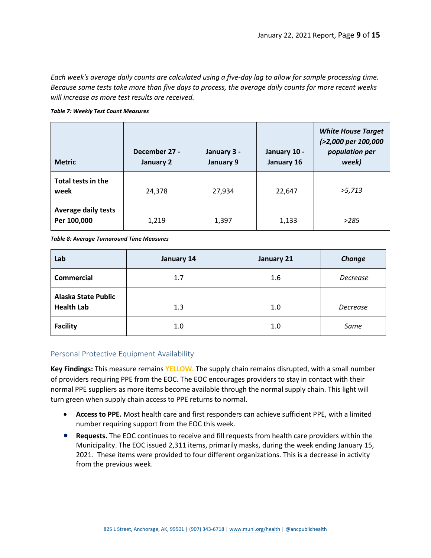*Each week's average daily counts are calculated using a five-day lag to allow for sample processing time. Because some tests take more than five days to process, the average daily counts for more recent weeks will increase as more test results are received.*

#### *Table 7: Weekly Test Count Measures*

| <b>Metric</b>                             | December 27 -<br>January 2 | January 3 -<br>January 9 | January 10 -<br>January 16 | <b>White House Target</b><br>(>2,000 per 100,000<br>population per<br>week) |
|-------------------------------------------|----------------------------|--------------------------|----------------------------|-----------------------------------------------------------------------------|
| Total tests in the<br>week                | 24,378                     | 27,934                   | 22,647                     | >5,713                                                                      |
| <b>Average daily tests</b><br>Per 100,000 | 1,219                      | 1,397                    | 1,133                      | >285                                                                        |

*Table 8: Average Turnaround Time Measures*

| Lab                                             | January 14 | January 21 | Change   |
|-------------------------------------------------|------------|------------|----------|
| <b>Commercial</b>                               | 1.7        | 1.6        | Decrease |
| <b>Alaska State Public</b><br><b>Health Lab</b> | 1.3        | 1.0        | Decrease |
| <b>Facility</b>                                 | 1.0        | 1.0        | Same     |

## Personal Protective Equipment Availability

**Key Findings:** This measure remains **YELLOW.** The supply chain remains disrupted, with a small number of providers requiring PPE from the EOC. The EOC encourages providers to stay in contact with their normal PPE suppliers as more items become available through the normal supply chain. This light will turn green when supply chain access to PPE returns to normal.

- **Access to PPE.** Most health care and first responders can achieve sufficient PPE, with a limited number requiring support from the EOC this week.
- **Requests.** The EOC continues to receive and fill requests from health care providers within the Municipality. The EOC issued 2,311 items, primarily masks, during the week ending January 15, 2021. These items were provided to four different organizations. This is a decrease in activity from the previous week.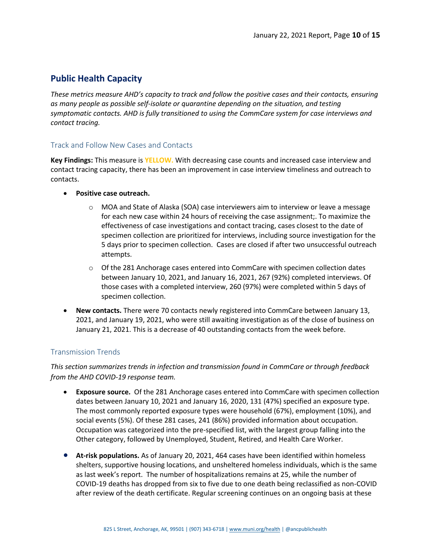# **Public Health Capacity**

*These metrics measure AHD's capacity to track and follow the positive cases and their contacts, ensuring as many people as possible self-isolate or quarantine depending on the situation, and testing symptomatic contacts. AHD is fully transitioned to using the CommCare system for case interviews and contact tracing.*

## Track and Follow New Cases and Contacts

**Key Findings:** This measure is **YELLOW.** With decreasing case counts and increased case interview and contact tracing capacity, there has been an improvement in case interview timeliness and outreach to contacts.

- **Positive case outreach.**
	- $\circ$  MOA and State of Alaska (SOA) case interviewers aim to interview or leave a message for each new case within 24 hours of receiving the case assignment;. To maximize the effectiveness of case investigations and contact tracing, cases closest to the date of specimen collection are prioritized for interviews, including source investigation for the 5 days prior to specimen collection. Cases are closed if after two unsuccessful outreach attempts.
	- $\circ$  Of the 281 Anchorage cases entered into CommCare with specimen collection dates between January 10, 2021, and January 16, 2021, 267 (92%) completed interviews. Of those cases with a completed interview, 260 (97%) were completed within 5 days of specimen collection.
- **New contacts.** There were 70 contacts newly registered into CommCare between January 13, 2021, and January 19, 2021, who were still awaiting investigation as of the close of business on January 21, 2021. This is a decrease of 40 outstanding contacts from the week before.

## Transmission Trends

*This section summarizes trends in infection and transmission found in CommCare or through feedback from the AHD COVID-19 response team.*

- **Exposure source.** Of the 281 Anchorage cases entered into CommCare with specimen collection dates between January 10, 2021 and January 16, 2020, 131 (47%) specified an exposure type. The most commonly reported exposure types were household (67%), employment (10%), and social events (5%). Of these 281 cases, 241 (86%) provided information about occupation. Occupation was categorized into the pre-specified list, with the largest group falling into the Other category, followed by Unemployed, Student, Retired, and Health Care Worker.
- **At-risk populations.** As of January 20, 2021, 464 cases have been identified within homeless shelters, supportive housing locations, and unsheltered homeless individuals, which is the same as last week's report. The number of hospitalizations remains at 25, while the number of COVID-19 deaths has dropped from six to five due to one death being reclassified as non-COVID after review of the death certificate. Regular screening continues on an ongoing basis at these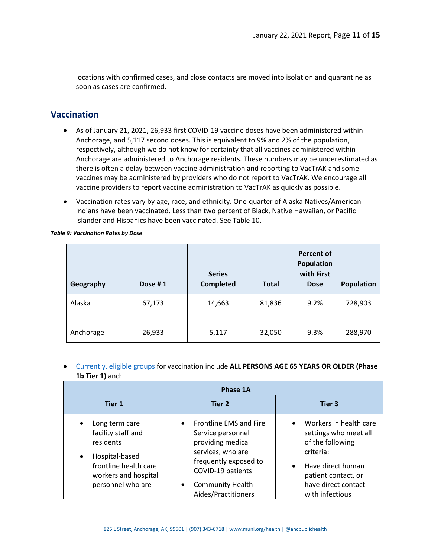locations with confirmed cases, and close contacts are moved into isolation and quarantine as soon as cases are confirmed.

# **Vaccination**

- As of January 21, 2021, 26,933 first COVID-19 vaccine doses have been administered within Anchorage, and 5,117 second doses. This is equivalent to 9% and 2% of the population, respectively, although we do not know for certainty that all vaccines administered within Anchorage are administered to Anchorage residents. These numbers may be underestimated as there is often a delay between vaccine administration and reporting to VacTrAK and some vaccines may be administered by providers who do not report to VacTrAK. We encourage all vaccine providers to report vaccine administration to VacTrAK as quickly as possible.
- Vaccination rates vary by age, race, and ethnicity. One-quarter of Alaska Natives/American Indians have been vaccinated. Less than two percent of Black, Native Hawaiian, or Pacific Islander and Hispanics have been vaccinated. See Table 10.

| Geography | Dose #1 | <b>Series</b><br><b>Completed</b> | <b>Total</b> | <b>Percent of</b><br><b>Population</b><br>with First<br><b>Dose</b> | <b>Population</b> |
|-----------|---------|-----------------------------------|--------------|---------------------------------------------------------------------|-------------------|
| Alaska    | 67,173  | 14,663                            | 81,836       | 9.2%                                                                | 728,903           |
| Anchorage | 26,933  | 5,117                             | 32,050       | 9.3%                                                                | 288,970           |

*Table 9: Vaccination Rates by Dose*

• [Currently, eligible groups](http://dhss.alaska.gov/dph/Epi/id/Pages/COVID-19/VaccineAvailability.aspx#1a4) for vaccination include **ALL PERSONS AGE 65 YEARS OR OLDER (Phase 1b Tier 1)** and:

|                                                                                                                                                                     | Phase 1A                                                                                                                                                                                                               |                                                                                                                                                                                                  |
|---------------------------------------------------------------------------------------------------------------------------------------------------------------------|------------------------------------------------------------------------------------------------------------------------------------------------------------------------------------------------------------------------|--------------------------------------------------------------------------------------------------------------------------------------------------------------------------------------------------|
| Tier 1                                                                                                                                                              | Tier 2                                                                                                                                                                                                                 | Tier 3                                                                                                                                                                                           |
| Long term care<br>$\bullet$<br>facility staff and<br>residents<br>Hospital-based<br>$\bullet$<br>frontline health care<br>workers and hospital<br>personnel who are | <b>Frontline EMS and Fire</b><br>$\bullet$<br>Service personnel<br>providing medical<br>services, who are<br>frequently exposed to<br>COVID-19 patients<br><b>Community Health</b><br>$\bullet$<br>Aides/Practitioners | Workers in health care<br>$\bullet$<br>settings who meet all<br>of the following<br>criteria:<br>Have direct human<br>$\bullet$<br>patient contact, or<br>have direct contact<br>with infectious |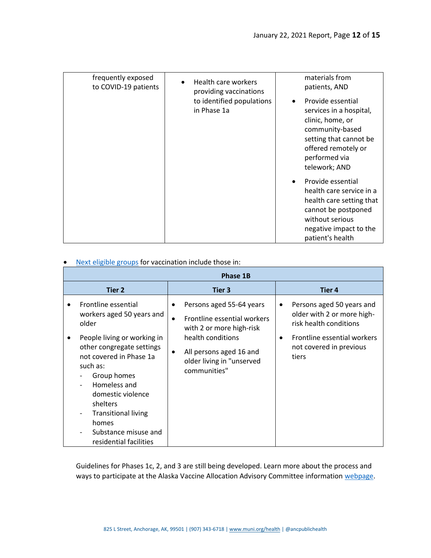| frequently exposed<br>to COVID-19 patients | Health care workers<br>providing vaccinations | materials from<br>patients, AND                                                                                                                                        |
|--------------------------------------------|-----------------------------------------------|------------------------------------------------------------------------------------------------------------------------------------------------------------------------|
|                                            | to identified populations<br>in Phase 1a      | Provide essential<br>services in a hospital,<br>clinic, home, or<br>community-based<br>setting that cannot be<br>offered remotely or<br>performed via<br>telework; AND |
|                                            |                                               | Provide essential<br>health care service in a<br>health care setting that<br>cannot be postponed<br>without serious<br>negative impact to the<br>patient's health      |

# • [Next eligible groups](http://dhss.alaska.gov/dph/Epi/id/SiteAssets/Pages/HumanCoV/DHSS_VaccineAllocation_Phase1b.pdf) for vaccination include those in:

| <b>Phase 1B</b>                                                                                                                                                                                                                                                                                                       |                                                                                                                                                                                                                         |                                                                                                                                                           |  |  |  |  |  |
|-----------------------------------------------------------------------------------------------------------------------------------------------------------------------------------------------------------------------------------------------------------------------------------------------------------------------|-------------------------------------------------------------------------------------------------------------------------------------------------------------------------------------------------------------------------|-----------------------------------------------------------------------------------------------------------------------------------------------------------|--|--|--|--|--|
| <b>Tier 2</b>                                                                                                                                                                                                                                                                                                         | Tier 3                                                                                                                                                                                                                  | <b>Tier 4</b>                                                                                                                                             |  |  |  |  |  |
| Frontline essential<br>workers aged 50 years and<br>older<br>People living or working in<br>other congregate settings<br>not covered in Phase 1a<br>such as:<br>Group homes<br>Homeless and<br>domestic violence<br>shelters<br><b>Transitional living</b><br>homes<br>Substance misuse and<br>residential facilities | Persons aged 55-64 years<br>$\bullet$<br>Frontline essential workers<br>$\bullet$<br>with 2 or more high-risk<br>health conditions<br>All persons aged 16 and<br>$\bullet$<br>older living in "unserved<br>communities" | Persons aged 50 years and<br>٠<br>older with 2 or more high-<br>risk health conditions<br>Frontline essential workers<br>not covered in previous<br>tiers |  |  |  |  |  |

Guidelines for Phases 1c, 2, and 3 are still being developed. Learn more about the process and ways to participate at the Alaska Vaccine Allocation Advisory Committee informatio[n webpage.](http://dhss.alaska.gov/dph/Epi/id/Pages/COVID-19/VaccineAllocation.aspx)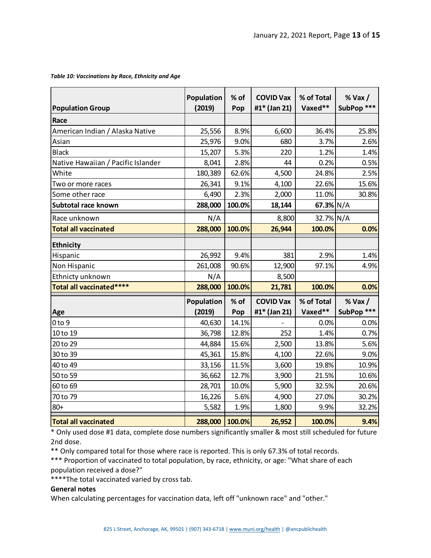#### *Table 10: Vaccinations by Race, Ethnicity and Age*

| <b>Population Group</b>            | Population<br>(2019) | $%$ of<br>Pop | <b>COVID Vax</b><br>#1* (Jan 21) | % of Total<br>Vaxed** | $%$ Vax $/$<br>SubPop *** |
|------------------------------------|----------------------|---------------|----------------------------------|-----------------------|---------------------------|
| Race                               |                      |               |                                  |                       |                           |
| American Indian / Alaska Native    | 25,556               | 8.9%          | 6,600                            | 36.4%                 | 25.8%                     |
| Asian                              | 25,976               | 9.0%          | 680                              | 3.7%                  | 2.6%                      |
| <b>Black</b>                       | 15,207               | 5.3%          | 220                              | 1.2%                  | 1.4%                      |
| Native Hawaiian / Pacific Islander | 8,041                | 2.8%          | 44                               | 0.2%                  | 0.5%                      |
| White                              | 180,389              | 62.6%         | 4,500                            | 24.8%                 | 2.5%                      |
| Two or more races                  | 26,341               | 9.1%          | 4,100                            | 22.6%                 | 15.6%                     |
| Some other race                    | 6,490                | 2.3%          | 2,000                            | 11.0%                 | 30.8%                     |
| Subtotal race known                | 288,000              | 100.0%        | 18,144                           | 67.3% $N/A$           |                           |
| Race unknown                       | N/A                  |               | 8,800                            | 32.7% N/A             |                           |
| <b>Total all vaccinated</b>        | 288,000              | 100.0%        | 26,944                           | 100.0%                | 0.0%                      |
| <b>Ethnicity</b>                   |                      |               |                                  |                       |                           |
| Hispanic                           | 26,992               | 9.4%          | 381                              | 2.9%                  | 1.4%                      |
| Non Hispanic                       | 261,008              | 90.6%         | 12,900                           | 97.1%                 | 4.9%                      |
| Ethnicty unknown                   | N/A                  |               | 8,500                            |                       |                           |
| Total all vaccinated****           | 288,000              | 100.0%        | 21,781                           | 100.0%                | 0.0%                      |
|                                    | Population           | $%$ of        | <b>COVID Vax</b>                 | % of Total            | $%$ Vax $/$               |
| Age                                | (2019)               | Pop           | #1* (Jan 21)                     | Vaxed**               | SubPop ***                |
| 0 <sub>to</sub> 9                  | 40,630               | 14.1%         |                                  | 0.0%                  | 0.0%                      |
| 10 to 19                           | 36,798               | 12.8%         | 252                              | 1.4%                  | 0.7%                      |
| 20 to 29                           | 44,884               | 15.6%         | 2,500                            | 13.8%                 | 5.6%                      |
| 30 to 39                           | 45,361               | 15.8%         | 4,100                            | 22.6%                 | 9.0%                      |
| 40 to 49                           | 33,156               | 11.5%         | 3,600                            | 19.8%                 | 10.9%                     |
| 50 to 59                           | 36,662               | 12.7%         | 3,900                            | 21.5%                 | 10.6%                     |
| 60 to 69                           | 28,701               | 10.0%         | 5,900                            | 32.5%                 | 20.6%                     |
| 70 to 79                           | 16,226               | 5.6%          | 4,900                            | 27.0%                 | 30.2%                     |
| $80 +$                             | 5,582                | 1.9%          | 1,800                            | 9.9%                  | 32.2%                     |
| <b>Total all vaccinated</b>        | 288,000              | 100.0%        | 26,952                           | 100.0%                | 9.4%                      |

\* Only used dose #1 data, complete dose numbers significantly smaller & most still scheduled for future 2nd dose.

\*\* Only compared total for those where race is reported. This is only 67.3% of total records.

\*\*\* Proportion of vaccinated to total population, by race, ethnicity, or age: "What share of each population received a dose?"

\*\*\*\*The total vaccinated varied by cross tab.

#### **General notes**

When calculating percentages for vaccination data, left off "unknown race" and "other."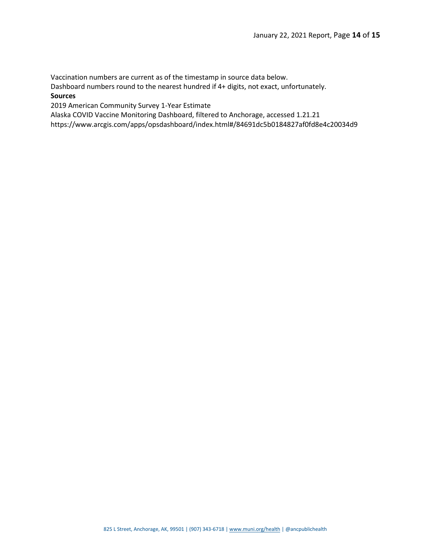Vaccination numbers are current as of the timestamp in source data below.

Dashboard numbers round to the nearest hundred if 4+ digits, not exact, unfortunately. **Sources**

2019 American Community Survey 1-Year Estimate

Alaska COVID Vaccine Monitoring Dashboard, filtered to Anchorage, accessed 1.21.21

https://www.arcgis.com/apps/opsdashboard/index.html#/84691dc5b0184827af0fd8e4c20034d9